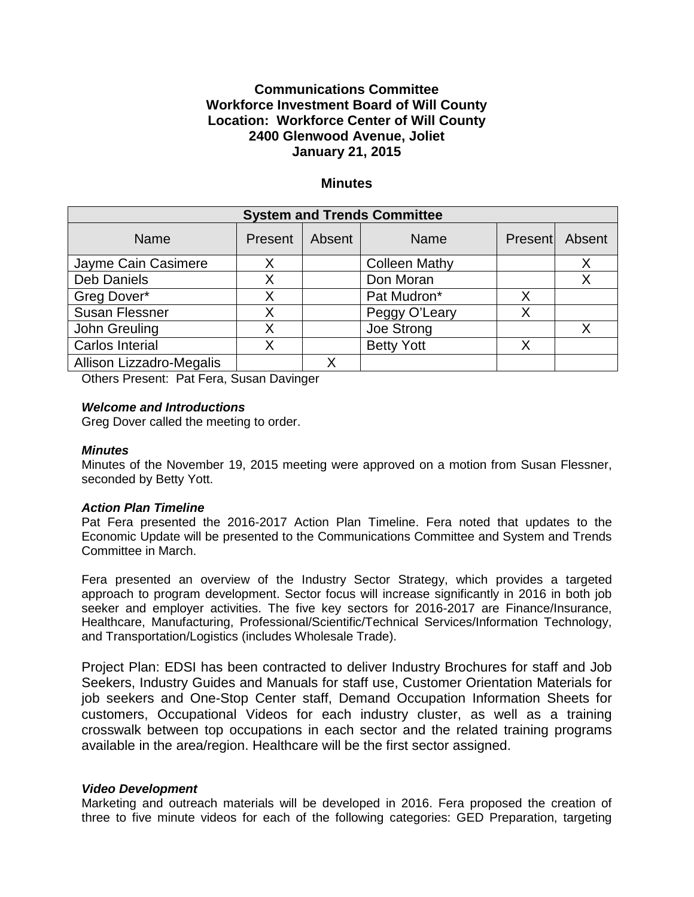# **Communications Committee Workforce Investment Board of Will County Location: Workforce Center of Will County 2400 Glenwood Avenue, Joliet January 21, 2015**

## **Minutes**

| <b>System and Trends Committee</b> |         |        |                      |   |                |
|------------------------------------|---------|--------|----------------------|---|----------------|
| Name                               | Present | Absent | <b>Name</b>          |   | Present Absent |
| Jayme Cain Casimere                | Χ       |        | <b>Colleen Mathy</b> |   | Χ              |
| <b>Deb Daniels</b>                 |         |        | Don Moran            |   |                |
| Greg Dover*                        |         |        | Pat Mudron*          |   |                |
| <b>Susan Flessner</b>              |         |        | Peggy O'Leary        | Х |                |
| John Greuling                      |         |        | Joe Strong           |   | Х              |
| Carlos Interial                    |         |        | <b>Betty Yott</b>    |   |                |
| Allison Lizzadro-Megalis           |         |        |                      |   |                |

Others Present: Pat Fera, Susan Davinger

# *Welcome and Introductions*

Greg Dover called the meeting to order.

#### *Minutes*

Minutes of the November 19, 2015 meeting were approved on a motion from Susan Flessner, seconded by Betty Yott.

#### *Action Plan Timeline*

Pat Fera presented the 2016-2017 Action Plan Timeline. Fera noted that updates to the Economic Update will be presented to the Communications Committee and System and Trends Committee in March.

Fera presented an overview of the Industry Sector Strategy, which provides a targeted approach to program development. Sector focus will increase significantly in 2016 in both job seeker and employer activities. The five key sectors for 2016-2017 are Finance/Insurance, Healthcare, Manufacturing, Professional/Scientific/Technical Services/Information Technology, and Transportation/Logistics (includes Wholesale Trade).

Project Plan: EDSI has been contracted to deliver Industry Brochures for staff and Job Seekers, Industry Guides and Manuals for staff use, Customer Orientation Materials for job seekers and One-Stop Center staff, Demand Occupation Information Sheets for customers, Occupational Videos for each industry cluster, as well as a training crosswalk between top occupations in each sector and the related training programs available in the area/region. Healthcare will be the first sector assigned.

#### *Video Development*

Marketing and outreach materials will be developed in 2016. Fera proposed the creation of three to five minute videos for each of the following categories: GED Preparation, targeting